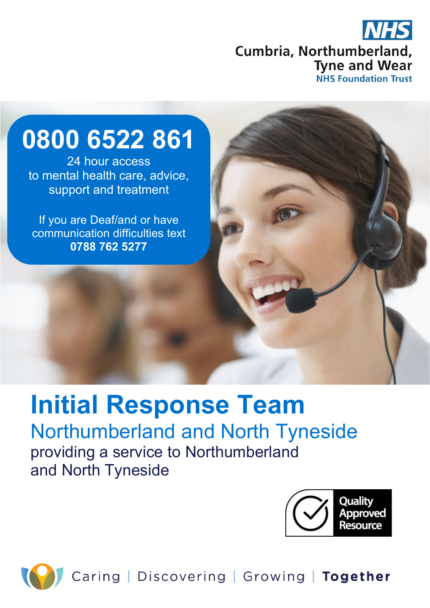

# **0800 6522 861**

24 hour access to mental health care, advice, support and treatment

If you are Deaf/and or have communication difficulties text **0788 762 5277**

# **Initial Response Team**  Northumberland and North Tyneside providing a service to Northumberland and North Tyneside





Caring | Discovering | Growing | Together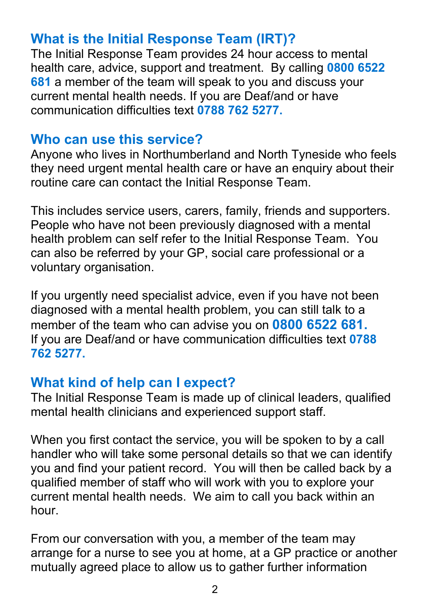# **What is the Initial Response Team (IRT)?**

The Initial Response Team provides 24 hour access to mental health care, advice, support and treatment. By calling **0800 6522 681** a member of the team will speak to you and discuss your current mental health needs. If you are Deaf/and or have communication difficulties text **0788 762 5277.**

#### **Who can use this service?**

Anyone who lives in Northumberland and North Tyneside who feels they need urgent mental health care or have an enquiry about their routine care can contact the Initial Response Team.

This includes service users, carers, family, friends and supporters. People who have not been previously diagnosed with a mental health problem can self refer to the Initial Response Team. You can also be referred by your GP, social care professional or a voluntary organisation.

If you urgently need specialist advice, even if you have not been diagnosed with a mental health problem, you can still talk to a member of the team who can advise you on **0800 6522 681.** If you are Deaf/and or have communication difficulties text **0788 762 5277.**

#### **What kind of help can I expect?**

The Initial Response Team is made up of clinical leaders, qualified mental health clinicians and experienced support staff.

When you first contact the service, you will be spoken to by a call handler who will take some personal details so that we can identify you and find your patient record. You will then be called back by a qualified member of staff who will work with you to explore your current mental health needs. We aim to call you back within an hour.

From our conversation with you, a member of the team may arrange for a nurse to see you at home, at a GP practice or another mutually agreed place to allow us to gather further information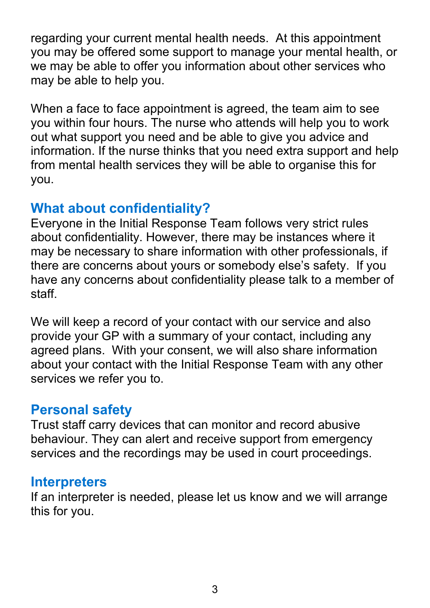regarding your current mental health needs. At this appointment you may be offered some support to manage your mental health, or we may be able to offer you information about other services who may be able to help you.

When a face to face appointment is agreed, the team aim to see you within four hours. The nurse who attends will help you to work out what support you need and be able to give you advice and information. If the nurse thinks that you need extra support and help from mental health services they will be able to organise this for you.

## **What about confidentiality?**

Everyone in the Initial Response Team follows very strict rules about confidentiality. However, there may be instances where it may be necessary to share information with other professionals, if there are concerns about yours or somebody else's safety. If you have any concerns about confidentiality please talk to a member of staff.

We will keep a record of your contact with our service and also provide your GP with a summary of your contact, including any agreed plans. With your consent, we will also share information about your contact with the Initial Response Team with any other services we refer you to.

#### **Personal safety**

Trust staff carry devices that can monitor and record abusive behaviour. They can alert and receive support from emergency services and the recordings may be used in court proceedings.

#### **Interpreters**

If an interpreter is needed, please let us know and we will arrange this for you.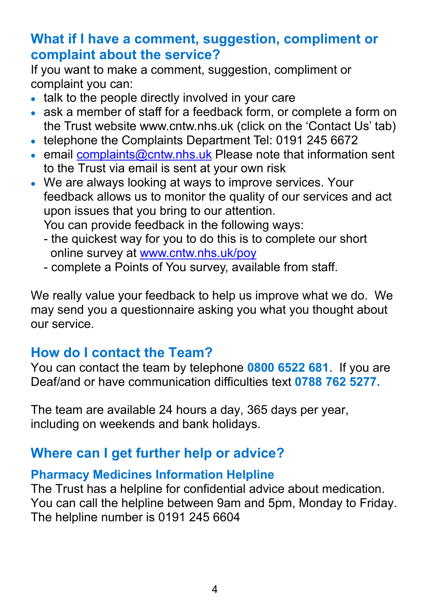## **What if I have a comment, suggestion, compliment or complaint about the service?**

If you want to make a comment, suggestion, compliment or complaint you can:

- talk to the people directly involved in your care
- ask a member of staff for a feedback form, or complete a form on the Trust website www.cntw.nhs.uk (click on the 'Contact Us' tab)
- telephone the Complaints Department Tel: 0191 245 6672
- email [complaints@cntw.nhs.uk](mailto:complaints@cntw.nhs.uk) Please note that information sent to the Trust via email is sent at your own risk
- We are always looking at ways to improve services. Your feedback allows us to monitor the quality of our services and act upon issues that you bring to our attention. You can provide feedback in the following ways:
	- the quickest way for you to do this is to complete our short online survey at [www.cntw.nhs.uk/poy](http://www.cntw.nhs.uk/poy)
	- complete a Points of You survey, available from staff.

We really value your feedback to help us improve what we do. We may send you a questionnaire asking you what you thought about our service.

# **How do I contact the Team?**

You can contact the team by telephone **0800 6522 681**. If you are Deaf/and or have communication difficulties text **0788 762 5277.**

The team are available 24 hours a day, 365 days per year, including on weekends and bank holidays.

# **Where can I get further help or advice?**

#### **Pharmacy Medicines Information Helpline**

The Trust has a helpline for confidential advice about medication. You can call the helpline between 9am and 5pm, Monday to Friday. The helpline number is 0191 245 6604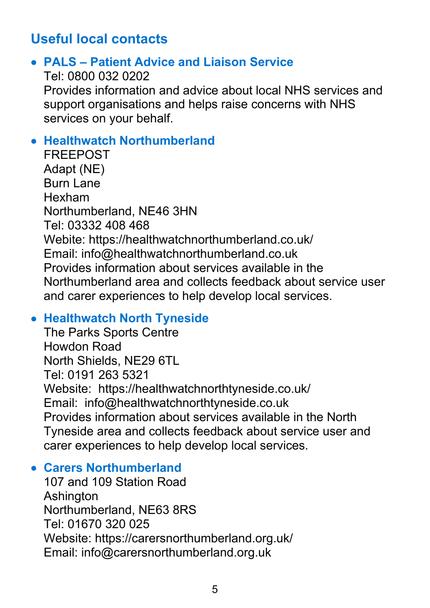# **Useful local contacts**

#### • **PALS – Patient Advice and Liaison Service**

Tel: 0800 032 0202 Provides information and advice about local NHS services and support organisations and helps raise concerns with NHS services on your behalf.

#### • **Healthwatch Northumberland**

FREEPOST Adapt (NE) Burn Lane Hexham Northumberland, NE46 3HN Tel: 03332 408 468 Webite: https://healthwatchnorthumberland.co.uk/ Email: info@healthwatchnorthumberland.co.uk Provides information about services available in the Northumberland area and collects feedback about service user and carer experiences to help develop local services.

#### • **Healthwatch North Tyneside**

The Parks Sports Centre Howdon Road North Shields, NE29 6TL Tel: 0191 263 5321 Website: https://healthwatchnorthtyneside.co.uk/ Email: info@healthwatchnorthtyneside.co.uk Provides information about services available in the North Tyneside area and collects feedback about service user and carer experiences to help develop local services.

#### • **Carers Northumberland**

107 and 109 Station Road Ashington Northumberland, NE63 8RS Tel: 01670 320 025 Website: https://carersnorthumberland.org.uk/ Email: info@carersnorthumberland.org.uk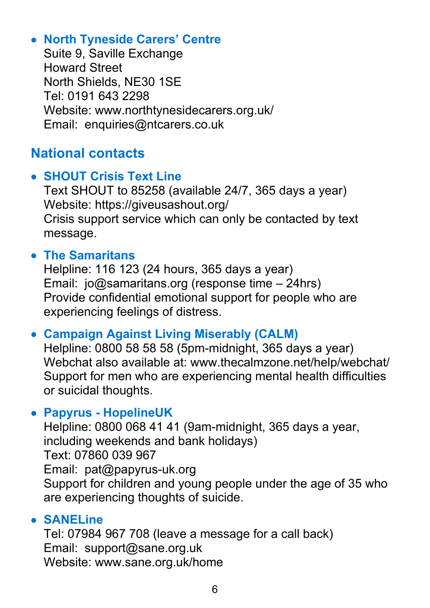#### • **North Tyneside Carers' Centre**

Suite 9, Saville Exchange Howard Street North Shields, NE30 1SE Tel: 0191 643 2298 Website: www.northtynesidecarers.org.uk/ Email: enquiries@ntcarers.co.uk

# **National contacts**

#### • **SHOUT Crisis Text Line**

Text SHOUT to 85258 (available 24/7, 365 days a year) Website: https://giveusashout.org/ Crisis support service which can only be contacted by text message.

#### • **The Samaritans**

Helpline: 116 123 (24 hours, 365 days a year) Email: jo@samaritans.org (response time – 24hrs) Provide confidential emotional support for people who are experiencing feelings of distress.

#### • **Campaign Against Living Miserably (CALM)**

Helpline: 0800 58 58 58 (5pm-midnight, 365 days a year) Webchat also available at: www.thecalmzone.net/help/webchat/ Support for men who are experiencing mental health difficulties or suicidal thoughts.

#### • **Papyrus - HopelineUK**

Helpline: 0800 068 41 41 (9am-midnight, 365 days a year, including weekends and bank holidays) Text: 07860 039 967 Email: pat@papyrus-uk.org Support for children and young people under the age of 35 who are experiencing thoughts of suicide.

#### • **SANELine**

Tel: 07984 967 708 (leave a message for a call back) Email: support@sane.org.uk Website: www.sane.org.uk/home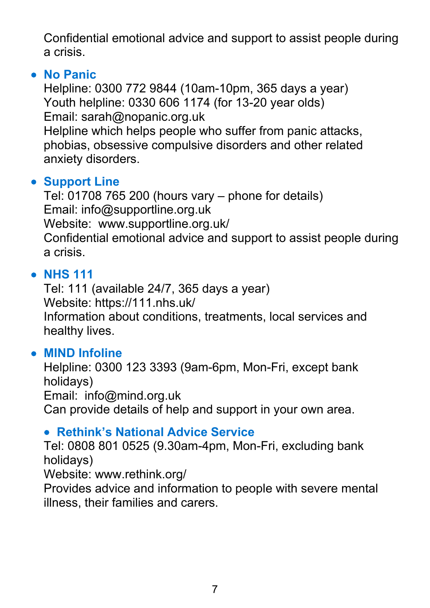Confidential emotional advice and support to assist people during a crisis.

#### • **No Panic**

Helpline: 0300 772 9844 (10am-10pm, 365 days a year) Youth helpline: 0330 606 1174 (for 13-20 year olds) Email: sarah@nopanic.org.uk

Helpline which helps people who suffer from panic attacks, phobias, obsessive compulsive disorders and other related anxiety disorders.

#### • **Support Line**

Tel: 01708 765 200 (hours vary – phone for details) Email: info@supportline.org.uk Website: www.supportline.org.uk/ Confidential emotional advice and support to assist people during a crisis.

#### • **NHS 111**

Tel: 111 (available 24/7, 365 days a year) Website: https://111.nhs.uk/ Information about conditions, treatments, local services and healthy lives.

#### • **MIND Infoline**

Helpline: 0300 123 3393 (9am-6pm, Mon-Fri, except bank holidays) Email: info@mind.org.uk Can provide details of help and support in your own area.

#### • **Rethink's National Advice Service**

Tel: 0808 801 0525 (9.30am-4pm, Mon-Fri, excluding bank holidays)

Website: www.rethink.org/

Provides advice and information to people with severe mental illness, their families and carers.